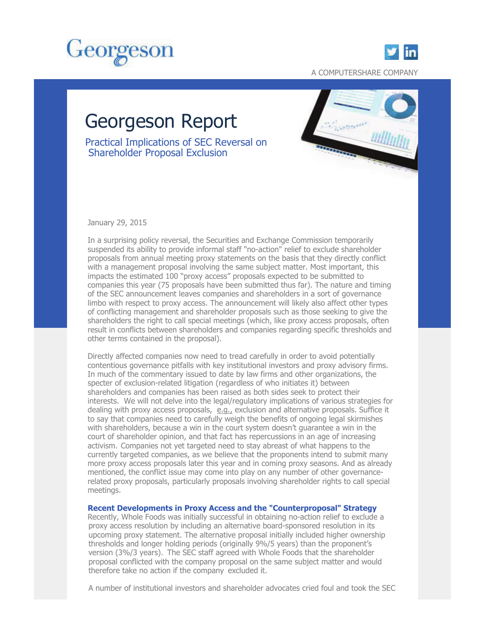



A COMPUTERSHARE COMPANY

# Georgeson Report

Practical Implications of SEC Reversal on Shareholder Proposal Exclusion



January 29, 2015

In a surprising policy reversal, the Securities and Exchange Commission temporarily suspended its ability to provide informal staff "no-action" relief to exclude shareholder proposals from annual meeting proxy statements on the basis that they directly conflict with a management proposal involving the same subject matter. Most important, this impacts the estimated 100 "proxy access" proposals expected to be submitted to companies this year (75 proposals have been submitted thus far). The nature and timing of the SEC announcement leaves companies and shareholders in a sort of governance limbo with respect to proxy access. The announcement will likely also affect other types of conflicting management and shareholder proposals such as those seeking to give the shareholders the right to call special meetings (which, like proxy access proposals, often result in conflicts between shareholders and companies regarding specific thresholds and other terms contained in the proposal).

Directly affected companies now need to tread carefully in order to avoid potentially contentious governance pitfalls with key institutional investors and proxy advisory firms. In much of the commentary issued to date by law firms and other organizations, the specter of exclusion-related litigation (regardless of who initiates it) between shareholders and companies has been raised as both sides seek to protect their interests. We will not delve into the legal/regulatory implications of various strategies for dealing with proxy access proposals,  $e.g.,$  exclusion and alternative proposals. Suffice it to say that companies need to carefully weigh the benefits of ongoing legal skirmishes with shareholders, because a win in the court system doesn't guarantee a win in the court of shareholder opinion, and that fact has repercussions in an age of increasing activism. Companies not yet targeted need to stay abreast of what happens to the currently targeted companies, as we believe that the proponents intend to submit many more proxy access proposals later this year and in coming proxy seasons. And as already mentioned, the conflict issue may come into play on any number of other governancerelated proxy proposals, particularly proposals involving shareholder rights to call special meetings.

## **Recent Developments in Proxy Access and the "Counterproposal" Strategy**

Recently, Whole Foods was initially successful in obtaining no-action relief to exclude a proxy access resolution by including an alternative board-sponsored resolution in its upcoming proxy statement. The alternative proposal initially included higher ownership thresholds and longer holding periods (originally 9%/5 years) than the proponent's version (3%/3 years). The SEC staff agreed with Whole Foods that the shareholder proposal conflicted with the company proposal on the same subject matter and would therefore take no action if the company excluded it.

A number of institutional investors and shareholder advocates cried foul and took the SEC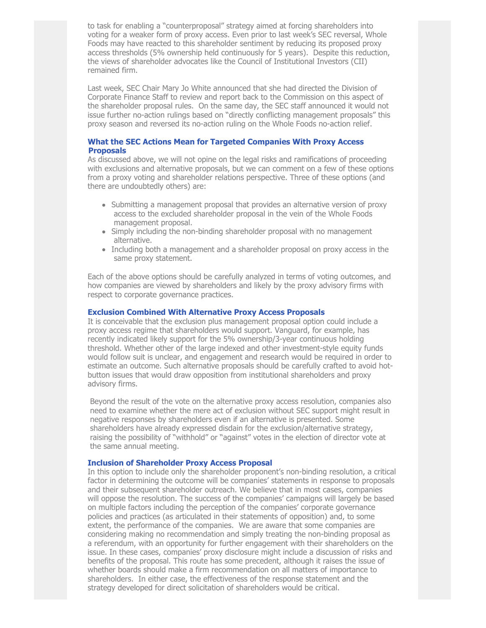to task for enabling a "counterproposal" strategy aimed at forcing shareholders into voting for a weaker form of proxy access. Even prior to last week's SEC reversal, Whole Foods may have reacted to this shareholder sentiment by reducing its proposed proxy access thresholds (5% ownership held continuously for 5 years). Despite this reduction, the views of shareholder advocates like the Council of Institutional Investors (CII) remained firm.

Last week, SEC Chair Mary Jo White announced that she had directed the Division of Corporate Finance Staff to review and report back to the Commission on this aspect of the shareholder proposal rules. On the same day, the SEC staff announced it would not issue further no-action rulings based on "directly conflicting management proposals" this proxy season and reversed its no-action ruling on the Whole Foods no-action relief.

## **What the SEC Actions Mean for Targeted Companies With Proxy Access Proposals**

As discussed above, we will not opine on the legal risks and ramifications of proceeding with exclusions and alternative proposals, but we can comment on a few of these options from a proxy voting and shareholder relations perspective. Three of these options (and there are undoubtedly others) are:

- Submitting a management proposal that provides an alternative version of proxy access to the excluded shareholder proposal in the vein of the Whole Foods management proposal.
- Simply including the non-binding shareholder proposal with no management alternative.
- Including both a management and a shareholder proposal on proxy access in the same proxy statement.

Each of the above options should be carefully analyzed in terms of voting outcomes, and how companies are viewed by shareholders and likely by the proxy advisory firms with respect to corporate governance practices.

#### **Exclusion Combined With Alternative Proxy Access Proposals**

It is conceivable that the exclusion plus management proposal option could include a proxy access regime that shareholders would support. Vanguard, for example, has recently indicated likely support for the 5% ownership/3-year continuous holding threshold. Whether other of the large indexed and other investment-style equity funds would follow suit is unclear, and engagement and research would be required in order to estimate an outcome. Such alternative proposals should be carefully crafted to avoid hotbutton issues that would draw opposition from institutional shareholders and proxy advisory firms.

Beyond the result of the vote on the alternative proxy access resolution, companies also need to examine whether the mere act of exclusion without SEC support might result in negative responses by shareholders even if an alternative is presented. Some shareholders have already expressed disdain for the exclusion/alternative strategy, raising the possibility of "withhold" or "against" votes in the election of director vote at the same annual meeting.

### **Inclusion of Shareholder Proxy Access Proposal**

In this option to include only the shareholder proponent's non-binding resolution, a critical factor in determining the outcome will be companies' statements in response to proposals and their subsequent shareholder outreach. We believe that in most cases, companies will oppose the resolution. The success of the companies' campaigns will largely be based on multiple factors including the perception of the companies' corporate governance policies and practices (as articulated in their statements of opposition) and, to some extent, the performance of the companies. We are aware that some companies are considering making no recommendation and simply treating the non-binding proposal as a referendum, with an opportunity for further engagement with their shareholders on the issue. In these cases, companies' proxy disclosure might include a discussion of risks and benefits of the proposal. This route has some precedent, although it raises the issue of whether boards should make a firm recommendation on all matters of importance to shareholders. In either case, the effectiveness of the response statement and the strategy developed for direct solicitation of shareholders would be critical.